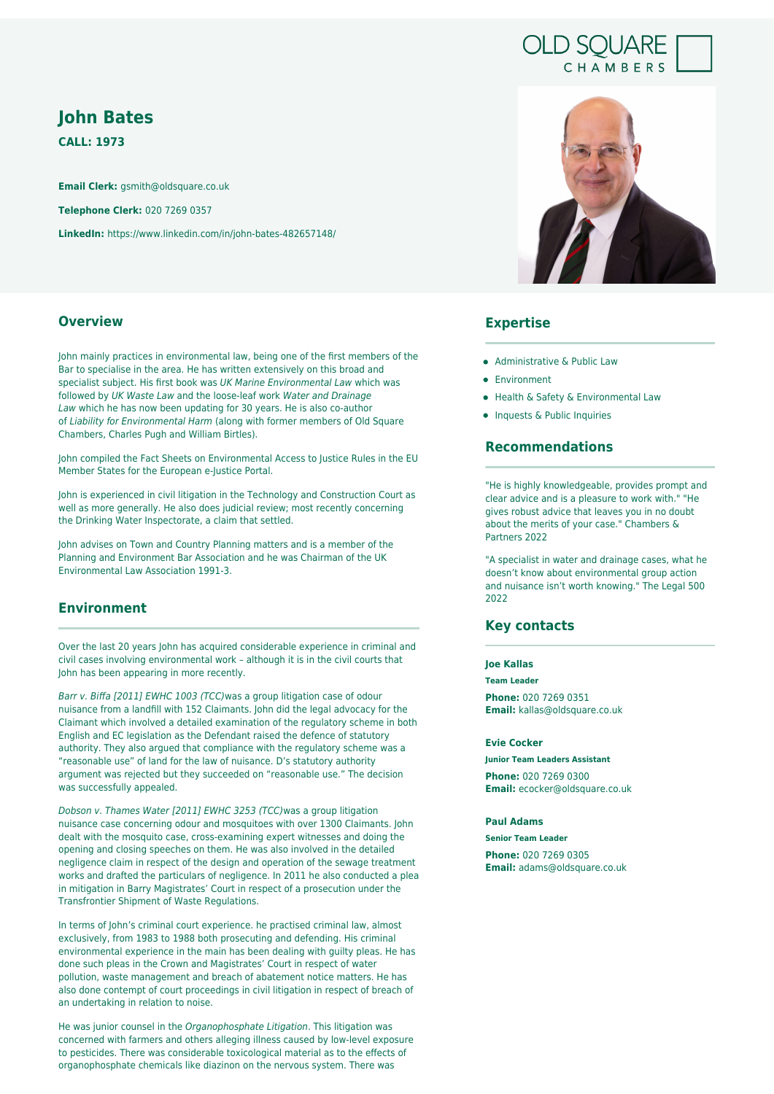# **John Bates**

**CALL: 1973**

**Email Clerk:** gsmith@oldsquare.co.uk

**Telephone Clerk:** 020 7269 0357

**LinkedIn:** https://www.linkedin.com/in/john-bates-482657148/

# **Overview**

John mainly practices in environmental law, being one of the first members of the Bar to specialise in the area. He has written extensively on this broad and specialist subject. His first book was UK Marine Environmental Law which was followed by UK Waste Law and the loose-leaf work Water and Drainage Law which he has now been updating for 30 years. He is also co-author of Liability for Environmental Harm (along with former members of Old Square Chambers, Charles Pugh and William Birtles).

John compiled the Fact Sheets on Environmental Access to Justice Rules in the EU Member States for the European e-Justice Portal.

John is experienced in civil litigation in the Technology and Construction Court as well as more generally. He also does judicial review; most recently concerning the Drinking Water Inspectorate, a claim that settled.

John advises on Town and Country Planning matters and is a member of the Planning and Environment Bar Association and he was Chairman of the UK Environmental Law Association 1991-3.

# **Environment**

Over the last 20 years John has acquired considerable experience in criminal and civil cases involving environmental work – although it is in the civil courts that John has been appearing in more recently.

Barr v. Biffa [2011] EWHC 1003 (TCC)was a group litigation case of odour nuisance from a landfill with 152 Claimants. John did the legal advocacy for the Claimant which involved a detailed examination of the regulatory scheme in both English and EC legislation as the Defendant raised the defence of statutory authority. They also argued that compliance with the regulatory scheme was a "reasonable use" of land for the law of nuisance. D's statutory authority argument was rejected but they succeeded on "reasonable use." The decision was successfully appealed.

Dobson v. Thames Water [2011] EWHC 3253 (TCC)was a group litigation nuisance case concerning odour and mosquitoes with over 1300 Claimants. John dealt with the mosquito case, cross-examining expert witnesses and doing the opening and closing speeches on them. He was also involved in the detailed negligence claim in respect of the design and operation of the sewage treatment works and drafted the particulars of negligence. In 2011 he also conducted a plea in mitigation in Barry Magistrates' Court in respect of a prosecution under the Transfrontier Shipment of Waste Regulations.

In terms of John's criminal court experience. he practised criminal law, almost exclusively, from 1983 to 1988 both prosecuting and defending. His criminal environmental experience in the main has been dealing with guilty pleas. He has done such pleas in the Crown and Magistrates' Court in respect of water pollution, waste management and breach of abatement notice matters. He has also done contempt of court proceedings in civil litigation in respect of breach of an undertaking in relation to noise.

He was junior counsel in the Organophosphate Litigation. This litigation was concerned with farmers and others alleging illness caused by low-level exposure to pesticides. There was considerable toxicological material as to the effects of organophosphate chemicals like diazinon on the nervous system. There was



OLD SOUARE

CHAMBERS

# **Expertise**

- Administrative & Public Law
- **•** Environment
- Health & Safety & Environmental Law
- Inquests & Public Inquiries

# **Recommendations**

"He is highly knowledgeable, provides prompt and clear advice and is a pleasure to work with." "He gives robust advice that leaves you in no doubt about the merits of your case." Chambers & Partners 2022

"A specialist in water and drainage cases, what he doesn't know about environmental group action and nuisance isn't worth knowing." The Legal 500 2022

### **Key contacts**

### **Joe Kallas**

**Team Leader Phone:** 020 7269 0351

**Email:** kallas@oldsquare.co.uk

#### **Evie Cocker**

**Junior Team Leaders Assistant Phone:** 020 7269 0300

**Email:** ecocker@oldsquare.co.uk

## **Paul Adams**

**Senior Team Leader Phone:** 020 7269 0305 **Email:** adams@oldsquare.co.uk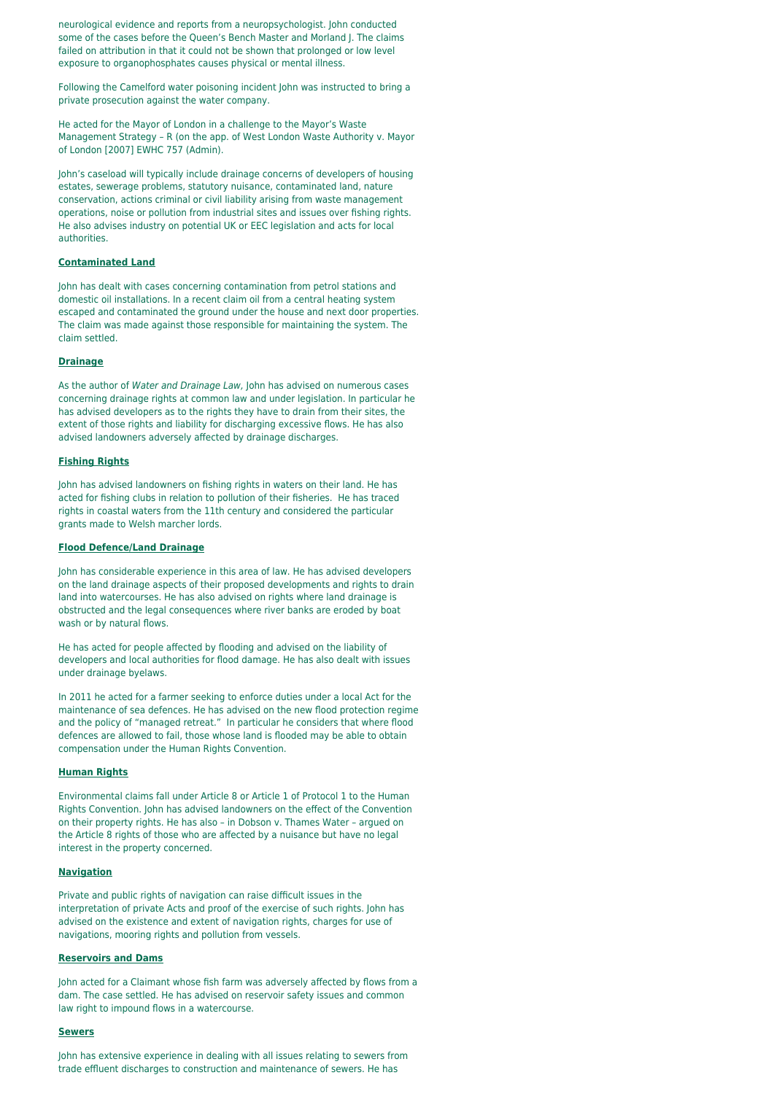neurological evidence and reports from a neuropsychologist. John conducted some of the cases before the Queen's Bench Master and Morland J. The claims failed on attribution in that it could not be shown that prolonged or low level exposure to organophosphates causes physical or mental illness.

Following the Camelford water poisoning incident John was instructed to bring a private prosecution against the water company.

He acted for the Mayor of London in a challenge to the Mayor's Waste Management Strategy – R (on the app. of West London Waste Authority v. Mayor of London [2007] EWHC 757 (Admin).

John's caseload will typically include drainage concerns of developers of housing estates, sewerage problems, statutory nuisance, contaminated land, nature conservation, actions criminal or civil liability arising from waste management operations, noise or pollution from industrial sites and issues over fishing rights. He also advises industry on potential UK or EEC legislation and acts for local authorities.

#### **Contaminated Land**

John has dealt with cases concerning contamination from petrol stations and domestic oil installations. In a recent claim oil from a central heating system escaped and contaminated the ground under the house and next door properties. The claim was made against those responsible for maintaining the system. The claim settled.

### **Drainage**

As the author of Water and Drainage Law, John has advised on numerous cases concerning drainage rights at common law and under legislation. In particular he has advised developers as to the rights they have to drain from their sites, the extent of those rights and liability for discharging excessive flows. He has also advised landowners adversely affected by drainage discharges.

#### **Fishing Rights**

John has advised landowners on fishing rights in waters on their land. He has acted for fishing clubs in relation to pollution of their fisheries. He has traced rights in coastal waters from the 11th century and considered the particular grants made to Welsh marcher lords.

#### **Flood Defence/Land Drainage**

John has considerable experience in this area of law. He has advised developers on the land drainage aspects of their proposed developments and rights to drain land into watercourses. He has also advised on rights where land drainage is obstructed and the legal consequences where river banks are eroded by boat wash or by natural flows.

He has acted for people affected by flooding and advised on the liability of developers and local authorities for flood damage. He has also dealt with issues under drainage byelaws.

In 2011 he acted for a farmer seeking to enforce duties under a local Act for the maintenance of sea defences. He has advised on the new flood protection regime and the policy of "managed retreat." In particular he considers that where flood defences are allowed to fail, those whose land is flooded may be able to obtain compensation under the Human Rights Convention.

#### **Human Rights**

Environmental claims fall under Article 8 or Article 1 of Protocol 1 to the Human Rights Convention. John has advised landowners on the effect of the Convention on their property rights. He has also – in Dobson v. Thames Water – argued on the Article 8 rights of those who are affected by a nuisance but have no legal interest in the property concerned.

#### **Navigation**

Private and public rights of navigation can raise difficult issues in the interpretation of private Acts and proof of the exercise of such rights. John has advised on the existence and extent of navigation rights, charges for use of navigations, mooring rights and pollution from vessels.

#### **Reservoirs and Dams**

John acted for a Claimant whose fish farm was adversely affected by flows from a dam. The case settled. He has advised on reservoir safety issues and common law right to impound flows in a watercourse.

#### **Sewers**

John has extensive experience in dealing with all issues relating to sewers from trade effluent discharges to construction and maintenance of sewers. He has